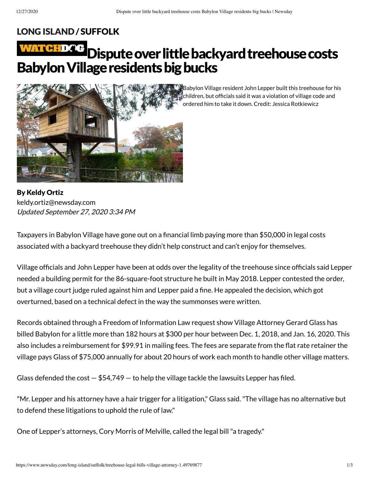children, but officials said it was a violation of village code and

## LONG [ISLAND](https://www.newsday.com/long-island) / [SUFFOLK](https://www.newsday.com/long-island/suffolk)

# WATE Dispute over little backyard treehouse costs Babylon Village residents big bucks



By Keldy Ortiz Updated September 27, 2020 3:34 PM [keldy.ortiz@newsday.com](mailto:keldy.ortiz@newsday.com?subject=Dispute%20over%20little%20backyard%20treehouse%20costs%20Babylon%20Village%20residents%20big%20bucks&body=Taxpayers%20in%20Babylon%20Village%20have%20gone%20out%20on%20a%20financial%20limb%20paying%20more%20than%20$50,000%20in%20legal%20costs%20associated%20with%20a%20backyard%20treehouse%20they%20didn%E2%80%99t%20help%20construct%20and%20can%E2%80%99t%20enjoy%20for%20themselves.%20V%0D%0Ahttps://www.newsday.com/long-island/suffolk/treehouse-legal-bills-village-attorney-1.49769877)

Taxpayers in Babylon Village have gone out on a financial limb paying more than \$50,000 in legal costs associated with a backyard treehouse they didn't help construct and can't enjoy for themselves.

Village officials and John Lepper have been at odds over the legality of the treehouse since officials said Lepper needed a building permit for the 86-square-foot structure he built in May 2018. Lepper contested the order, but a village court judge ruled against him and Lepper paid a fine. He appealed the decision, which got overturned, based on a technical defect in the way the summonses were written.

Records obtained through a Freedom of Information Law request show Village Attorney Gerard Glass has billed Babylon for a little more than 182 hours at \$300 per hour between Dec. 1, 2018, and Jan. 16, 2020. This also includes a reimbursement for \$99.91 in mailing fees. The fees are separate from the flat rate retainer the village pays Glass of \$75,000 annually for about 20 hours of work each month to handle other village matters.

Glass defended the cost  $-$  \$54,749  $-$  to help the village tackle the lawsuits Lepper has filed.

"Mr. Lepper and his attorney have a hair trigger for a litigation," Glass said."The village has no alternative but to defend these litigations to uphold the rule of law."

One of Lepper's attorneys, Cory Morris of Melville, called the legal bill"a tragedy."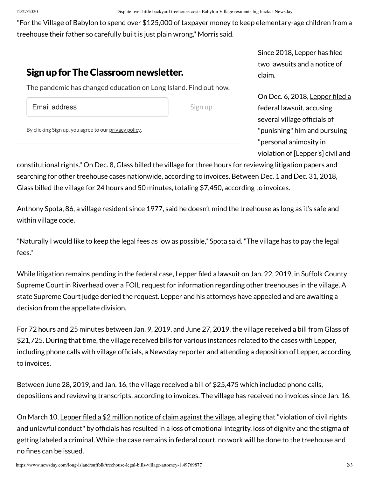"For the Village of Babylon to spend over \$125,000 of taxpayer money to keep elementary-age children from a treehouse their father so carefully built is just plain wrong," Morris said.

## Sign up for The Classroom newsletter.

The pandemic has changed education on Long Island. Find out how.

Email address

Sign up

By clicking Sign up, you agree to our [privacy](https://www.newsday.com/privacy) policy.

Since 2018, Lepper has filed two lawsuits and a notice of claim.

On Dec. 6, 2018, Lepper filed a federal lawsuit, [accusing](https://www.newsday.com/long-island/suffolk/babylon-man-fined-for-backyard-treehouse-sues-the-village-1.24453151) several village officials of "punishing" him and pursuing "personal animosity in violation of [Lepper's] civil and

constitutional rights." On Dec. 8, Glass billed the village for three hours for reviewing litigation papers and searching for other treehouse cases nationwide, according to invoices. Between Dec. 1 and Dec. 31, 2018, Glass billed the village for 24 hours and 50 minutes, totaling \$7,450, according to invoices.

Anthony Spota, 86, a village resident since 1977, said he doesn't mind the treehouse as long as it's safe and within village code.

"Naturally I would like to keep the legal fees as low as possible," Spota said."The village has to pay the legal fees."

While litigation remains pending in the federal case, Lepper filed a lawsuit on Jan. 22, 2019, in Suffolk County Supreme Court in Riverhead over a FOIL request for information regarding other treehouses in the village. A state Supreme Court judge denied the request. Lepper and his attorneys have appealed and are awaiting a decision from the appellate division.

For 72 hours and 25 minutes between Jan. 9, 2019, and June 27, 2019, the village received a bill from Glass of \$21,725. During that time, the village received bills for various instances related to the cases with Lepper, including phone calls with village officials, a Newsday reporter and attending a deposition of Lepper, according to invoices.

Between June 28, 2019, and Jan. 16, the village received a bill of \$25,475 which included phone calls, depositions and reviewing transcripts, according to invoices. The village has received no invoices since Jan. 16.

On March 10, Lepper filed a \$2 million notice of claim [against](https://www.newsday.com/long-island/suffolk/treehouse-babylon-village-claim-1.44284842) the village, alleging that "violation of civil rights and unlawful conduct" by officials has resulted in a loss of emotional integrity, loss of dignity and the stigma of getting labeled a criminal. While the case remains in federal court, no work will be done to the treehouse and no fines can be issued.